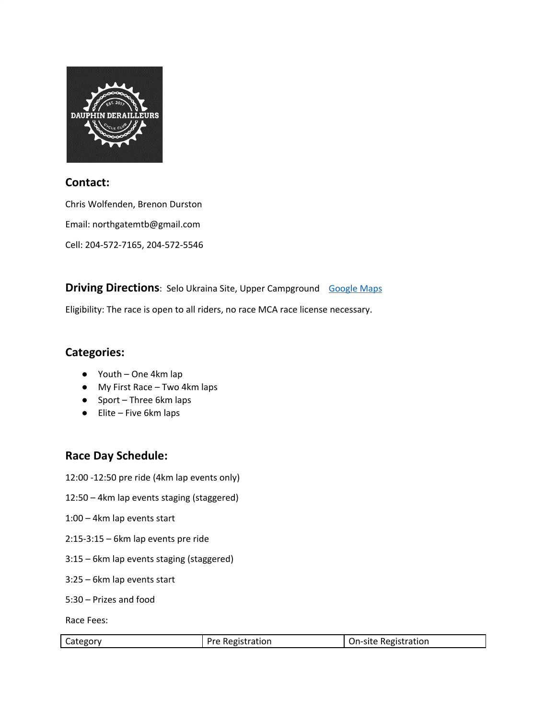

### **Contact:**

Chris Wolfenden, Brenon Durston Email: northgatemtb@gmail.com

Cell: 204-572-7165, 204-572-5546

**Driving Directions:** Selo Ukraina Site, Upper Campground [Google](https://www.google.com/maps/place/51%C2%B002) Maps

Eligibility: The race is open to all riders, no race MCA race license necessary.

## **Categories:**

- Youth One 4km lap
- My First Race Two 4km laps
- Sport Three 6km laps
- Elite Five 6km laps

# **Race Day Schedule:**

- 12:00 -12:50 pre ride (4km lap events only)
- 12:50 4km lap events staging (staggered)
- 1:00 4km lap events start
- 2:15-3:15 6km lap events pre ride
- 3:15 6km lap events staging (staggered)
- 3:25 6km lap events start
- 5:30 Prizes and food

Race Fees:

| Category | Pre Registration | On-site Registration |
|----------|------------------|----------------------|
|          |                  |                      |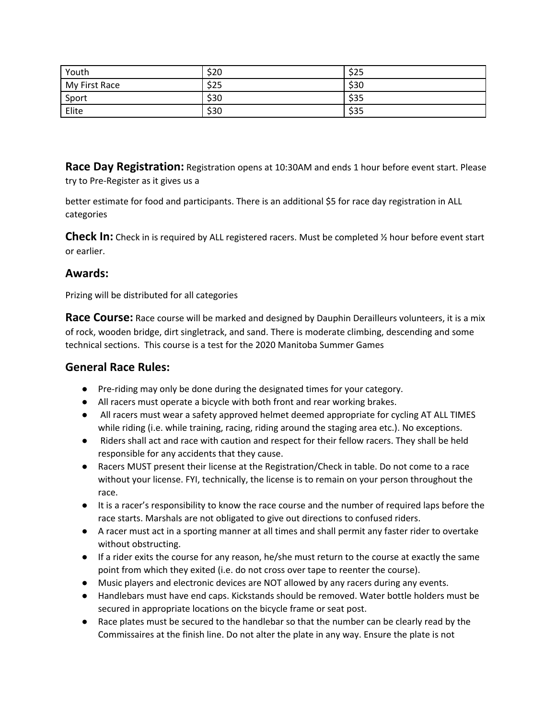| Youth         | \$20 | \$25 |
|---------------|------|------|
| My First Race | \$25 | \$30 |
| Sport         | \$30 | \$35 |
| Elite         | \$30 | \$35 |

**Race Day Registration:** Registration opens at 10:30AM and ends 1 hour before event start. Please try to Pre-Register as it gives us a

better estimate for food and participants. There is an additional \$5 for race day registration in ALL categories

**Check In:** Check in is required by ALL registered racers. Must be completed % hour before event start or earlier.

### **Awards:**

Prizing will be distributed for all categories

**Race Course:** Race course will be marked and designed by Dauphin Derailleurs volunteers, it is a mix of rock, wooden bridge, dirt singletrack, and sand. There is moderate climbing, descending and some technical sections. This course is a test for the 2020 Manitoba Summer Games

### **General Race Rules:**

- Pre-riding may only be done during the designated times for your category.
- All racers must operate a bicycle with both front and rear working brakes.
- All racers must wear a safety approved helmet deemed appropriate for cycling AT ALL TIMES while riding (i.e. while training, racing, riding around the staging area etc.). No exceptions.
- Riders shall act and race with caution and respect for their fellow racers. They shall be held responsible for any accidents that they cause.
- Racers MUST present their license at the Registration/Check in table. Do not come to a race without your license. FYI, technically, the license is to remain on your person throughout the race.
- It is a racer's responsibility to know the race course and the number of required laps before the race starts. Marshals are not obligated to give out directions to confused riders.
- A racer must act in a sporting manner at all times and shall permit any faster rider to overtake without obstructing.
- If a rider exits the course for any reason, he/she must return to the course at exactly the same point from which they exited (i.e. do not cross over tape to reenter the course).
- Music players and electronic devices are NOT allowed by any racers during any events.
- Handlebars must have end caps. Kickstands should be removed. Water bottle holders must be secured in appropriate locations on the bicycle frame or seat post.
- Race plates must be secured to the handlebar so that the number can be clearly read by the Commissaires at the finish line. Do not alter the plate in any way. Ensure the plate is not